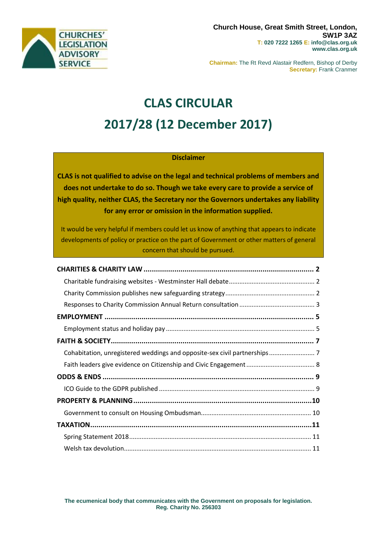

**Chairman:** The Rt Revd Alastair Redfern, Bishop of Derby **Secretary:** Frank Cranmer

# **CLAS CIRCULAR 2017/28 (12 December 2017)**

## **Disclaimer**

**CLAS is not qualified to advise on the legal and technical problems of members and does not undertake to do so. Though we take every care to provide a service of high quality, neither CLAS, the Secretary nor the Governors undertakes any liability for any error or omission in the information supplied.**

It would be very helpful if members could let us know of anything that appears to indicate developments of policy or practice on the part of Government or other matters of general concern that should be pursued.

| Cohabitation, unregistered weddings and opposite-sex civil partnerships 7 |  |
|---------------------------------------------------------------------------|--|
|                                                                           |  |
|                                                                           |  |
|                                                                           |  |
|                                                                           |  |
|                                                                           |  |
|                                                                           |  |
|                                                                           |  |
|                                                                           |  |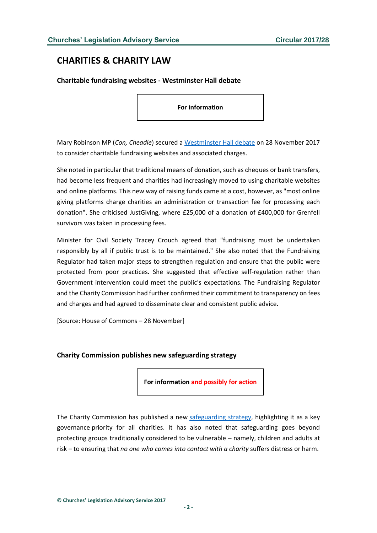# <span id="page-1-0"></span>**CHARITIES & CHARITY LAW**

<span id="page-1-1"></span>**Charitable fundraising websites - Westminster Hall debate**

**For information**

Mary Robinson MP (*Con, Cheadle*) secured a [Westminster Hall debate](http://hansard.parliament.uk/commons/2017-11-28/debates/D2A4AAF2-6A62-4DF5-B95B-9ACA6055FF4B/CharitableFundraisingWebsites) on 28 November 2017 to consider charitable fundraising websites and associated charges.

She noted in particular that traditional means of donation, such as cheques or bank transfers, had become less frequent and charities had increasingly moved to using charitable websites and online platforms. This new way of raising funds came at a cost, however, as "most online giving platforms charge charities an administration or transaction fee for processing each donation". She criticised JustGiving, where £25,000 of a donation of £400,000 for Grenfell survivors was taken in processing fees.

Minister for Civil Society Tracey Crouch agreed that "fundraising must be undertaken responsibly by all if public trust is to be maintained." She also noted that the Fundraising Regulator had taken major steps to strengthen regulation and ensure that the public were protected from poor practices. She suggested that effective self-regulation rather than Government intervention could meet the public's expectations. The Fundraising Regulator and the Charity Commission had further confirmed their commitment to transparency on fees and charges and had agreed to disseminate clear and consistent public advice.

[Source: House of Commons – 28 November]

#### <span id="page-1-2"></span>**Charity Commission publishes new safeguarding strategy**

**For information and possibly for action**

The Charity Commission has published a new [safeguarding strategy,](http://www.gov.uk/government/publications/strategy-for-dealing-with-safeguarding-issues-in-charities/strategy-for-dealing-with-safeguarding-issues-in-charities) highlighting it as a key governance priority for all charities. It has also noted that safeguarding goes beyond protecting groups traditionally considered to be vulnerable – namely, children and adults at risk – to ensuring that *no one who comes into contact with a charity* suffers distress or harm.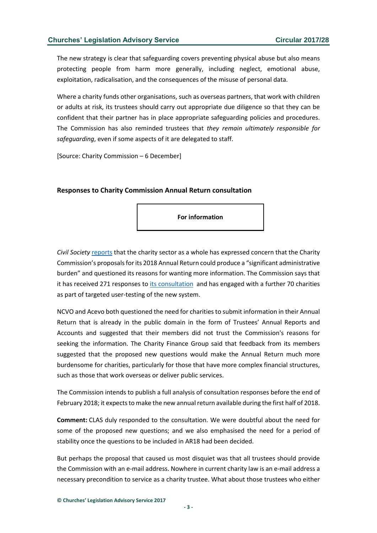The new strategy is clear that safeguarding covers preventing physical abuse but also means protecting people from harm more generally, including neglect, emotional abuse, exploitation, radicalisation, and the consequences of the misuse of personal data.

Where a charity funds other organisations, such as overseas partners, that work with children or adults at risk, its trustees should carry out appropriate due diligence so that they can be confident that their partner has in place appropriate safeguarding policies and procedures. The Commission has also reminded trustees that *they remain ultimately responsible for safeguarding*, even if some aspects of it are delegated to staff.

[Source: Charity Commission – 6 December]

## <span id="page-2-0"></span>**Responses to Charity Commission Annual Return consultation**

**For information**

*Civil Society* [reports](https://www.civilsociety.co.uk/news/charities-express-lack-of-trust-in-commission-in-response-to-extra-data-request.html?utm_source=Civil+Society+News+List&utm_campaign=f9c445e35e-EMAIL_CAMPAIGN_2017_11_27&utm_medium=email&utm_term=0_26f393b813-f9) that the charity sector as a whole has expressed concern that the Charity Commission's proposals for its 2018 Annual Return could produce a "significant administrative burden" and questioned its reasons for wanting more information. The Commission says that it has received 271 responses to [its consultation](https://www.gov.uk/government/uploads/system/uploads/attachment_data/file/644756/GOV.UK_AR18_consultation_proposal_v1.4.pdf) and has engaged with a further 70 charities as part of targeted user-testing of the new system.

NCVO and Acevo both questioned the need for charities to submit information in their Annual Return that is already in the public domain in the form of Trustees' Annual Reports and Accounts and suggested that their members did not trust the Commission's reasons for seeking the information. The Charity Finance Group said that feedback from its members suggested that the proposed new questions would make the Annual Return much more burdensome for charities, particularly for those that have more complex financial structures, such as those that work overseas or deliver public services.

The Commission intends to publish a full analysis of consultation responses before the end of February 2018; it expects to make the new annual return available during the first half of 2018.

**Comment:** CLAS duly responded to the consultation. We were doubtful about the need for some of the proposed new questions; and we also emphasised the need for a period of stability once the questions to be included in AR18 had been decided.

But perhaps the proposal that caused us most disquiet was that all trustees should provide the Commission with an e-mail address. Nowhere in current charity law is an e-mail address a necessary precondition to service as a charity trustee. What about those trustees who either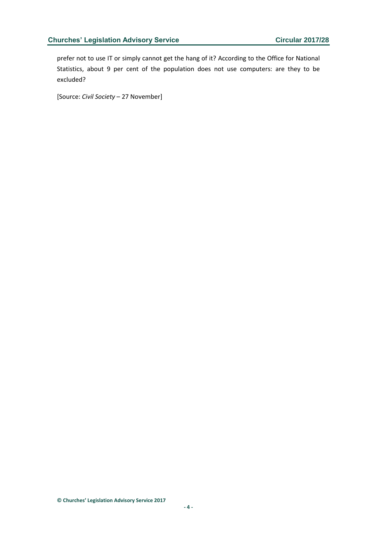prefer not to use IT or simply cannot get the hang of it? According to the Office for National Statistics, about 9 per cent of the population does not use computers: are they to be excluded?

[Source: *Civil Society* – 27 November]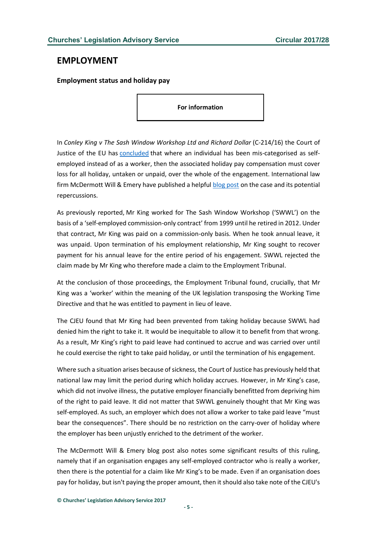## <span id="page-4-0"></span>**EMPLOYMENT**

<span id="page-4-1"></span>**Employment status and holiday pay**

**For information**

In *Conley King v The Sash Window Workshop Ltd and Richard Dollar* (C-214/16) the Court of Justice of the EU has [concluded](http://curia.europa.eu/jcms/upload/docs/application/pdf/2017-11/cp170126en.pdf) that where an individual has been mis-categorised as selfemployed instead of as a worker, then the associated holiday pay compensation must cover loss for all holiday, untaken or unpaid, over the whole of the engagement. International law firm McDermott Will & Emery have published a helpful [blog post](http://www.mwe.com/en/thought-leadership/publications/2017/11/holiday-back-pay-calculation-span-engagement) on the case and its potential repercussions.

As previously reported, Mr King worked for The Sash Window Workshop ('SWWL') on the basis of a 'self-employed commission-only contract' from 1999 until he retired in 2012. Under that contract, Mr King was paid on a commission-only basis. When he took annual leave, it was unpaid. Upon termination of his employment relationship, Mr King sought to recover payment for his annual leave for the entire period of his engagement. SWWL rejected the claim made by Mr King who therefore made a claim to the Employment Tribunal.

At the conclusion of those proceedings, the Employment Tribunal found, crucially, that Mr King was a 'worker' within the meaning of the UK legislation transposing the Working Time Directive and that he was entitled to payment in lieu of leave.

The CJEU found that Mr King had been prevented from taking holiday because SWWL had denied him the right to take it. It would be inequitable to allow it to benefit from that wrong. As a result, Mr King's right to paid leave had continued to accrue and was carried over until he could exercise the right to take paid holiday, or until the termination of his engagement.

Where such a situation arises because of sickness, the Court of Justice has previously held that national law may limit the period during which holiday accrues. However, in Mr King's case, which did not involve illness, the putative employer financially benefitted from depriving him of the right to paid leave. It did not matter that SWWL genuinely thought that Mr King was self-employed. As such, an employer which does not allow a worker to take paid leave "must bear the consequences". There should be no restriction on the carry-over of holiday where the employer has been unjustly enriched to the detriment of the worker.

The McDermott Will & Emery blog post also notes some significant results of this ruling, namely that if an organisation engages any self-employed contractor who is really a worker, then there is the potential for a claim like Mr King's to be made. Even if an organisation does pay for holiday, but isn't paying the proper amount, then it should also take note of the CJEU's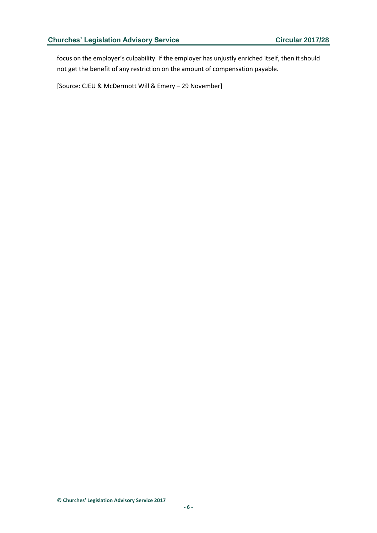focus on the employer's culpability. If the employer has unjustly enriched itself, then it should not get the benefit of any restriction on the amount of compensation payable.

[Source: CJEU & McDermott Will & Emery – 29 November]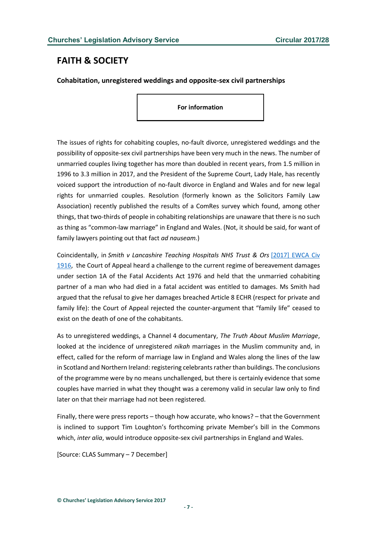# <span id="page-6-0"></span>**FAITH & SOCIETY**

<span id="page-6-1"></span>**Cohabitation, unregistered weddings and opposite-sex civil partnerships**

**For information**

The issues of rights for cohabiting couples, no-fault divorce, unregistered weddings and the possibility of opposite-sex civil partnerships have been very much in the news. The number of unmarried couples living together has more than doubled in recent years, from 1.5 million in 1996 to 3.3 million in 2017, and the President of the Supreme Court, Lady Hale, has recently voiced support the introduction of no-fault divorce in England and Wales and for new legal rights for unmarried couples. Resolution (formerly known as the Solicitors Family Law Association) recently published the results of a ComRes survey which found, among other things, that two-thirds of people in cohabiting relationships are unaware that there is no such as thing as "common-law marriage" in England and Wales. (Not, it should be said, for want of family lawyers pointing out that fact *ad nauseam.*)

Coincidentally, in *Smith v Lancashire Teaching Hospitals NHS Trust & Ors* [\[2017\] EWCA Civ](http://www.bailii.org/ew/cases/EWCA/Civ/2017/1916.html)  [1916,](http://www.bailii.org/ew/cases/EWCA/Civ/2017/1916.html) the Court of Appeal heard a challenge to the current regime of bereavement damages under section 1A of the Fatal Accidents Act 1976 and held that the unmarried cohabiting partner of a man who had died in a fatal accident was entitled to damages. Ms Smith had argued that the refusal to give her damages breached Article 8 ECHR (respect for private and family life): the Court of Appeal rejected the counter-argument that "family life" ceased to exist on the death of one of the cohabitants.

As to unregistered weddings, a Channel 4 documentary, *The Truth About Muslim Marriage*, looked at the incidence of unregistered *nikah* marriages in the Muslim community and, in effect, called for the reform of marriage law in England and Wales along the lines of the law in Scotland and Northern Ireland: registering celebrants rather than buildings. The conclusions of the programme were by no means unchallenged, but there is certainly evidence that some couples have married in what they thought was a ceremony valid in secular law only to find later on that their marriage had not been registered.

Finally, there were press reports – though how accurate, who knows? – that the Government is inclined to support Tim Loughton's forthcoming private Member's bill in the Commons which, *inter alia*, would introduce opposite-sex civil partnerships in England and Wales.

[Source: CLAS Summary – 7 December]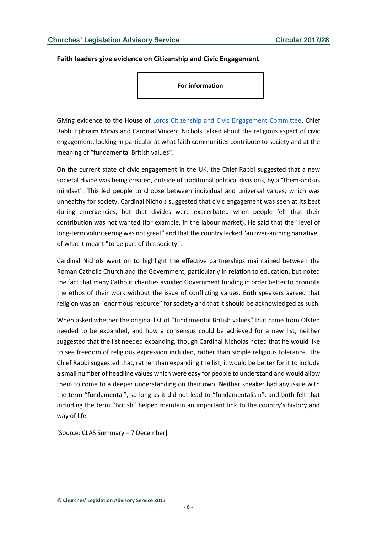#### <span id="page-7-0"></span>**Faith leaders give evidence on Citizenship and Civic Engagement**

**For information**

Giving evidence to the House of [Lords Citizenship and Civic Engagement Committee,](http://www.parliament.uk/citizenship-civic-engagement) Chief Rabbi Ephraim Mirvis and Cardinal Vincent Nichols talked about the religious aspect of civic engagement, looking in particular at what faith communities contribute to society and at the meaning of "fundamental British values".

On the current state of civic engagement in the UK, the Chief Rabbi suggested that a new societal divide was being created, outside of traditional political divisions, by a "them-and-us mindset". This led people to choose between individual and universal values, which was unhealthy for society. Cardinal Nichols suggested that civic engagement was seen at its best during emergencies, but that divides were exacerbated when people felt that their contribution was not wanted (for example, in the labour market). He said that the "level of long-term volunteering was not great" and that the country lacked "an over-arching narrative" of what it meant "to be part of this society".

Cardinal Nichols went on to highlight the effective partnerships maintained between the Roman Catholic Church and the Government, particularly in relation to education, but noted the fact that many Catholic charities avoided Government funding in order better to promote the ethos of their work without the issue of conflicting values. Both speakers agreed that religion was an "enormous resource" for society and that it should be acknowledged as such.

When asked whether the original list of "fundamental British values" that came from Ofsted needed to be expanded, and how a consensus could be achieved for a new list, neither suggested that the list needed expanding, though Cardinal Nicholas noted that he would like to see freedom of religious expression included, rather than simple religious tolerance. The Chief Rabbi suggested that, rather than expanding the list, it would be better for it to include a small number of headline values which were easy for people to understand and would allow them to come to a deeper understanding on their own. Neither speaker had any issue with the term "fundamental", so long as it did not lead to "fundamentalism", and both felt that including the term "British" helped maintain an important link to the country's history and way of life.

[Source: CLAS Summary – 7 December]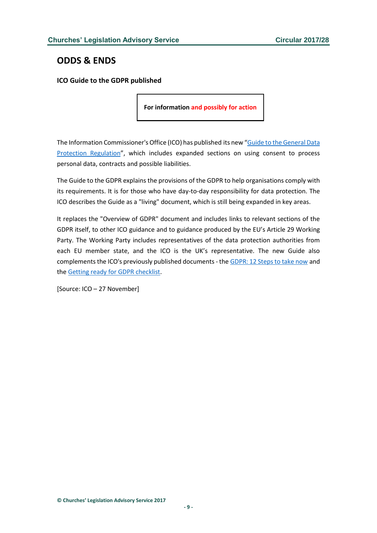# <span id="page-8-0"></span>**ODDS & ENDS**

<span id="page-8-1"></span>**ICO Guide to the GDPR published**

**For information and possibly for action**

The Information Commissioner's Office (ICO) has published its new "Guide to the General Data [Protection Regulation](http://ico.org.uk/for-organisations/guide-to-the-general-data-protection-regulation-gdpr/)", which includes expanded sections on using consent to process personal data, contracts and possible liabilities.

The Guide to the GDPR explains the provisions of the GDPR to help organisations comply with its requirements. It is for those who have day-to-day responsibility for data protection. The ICO describes the Guide as a "living" document, which is still being expanded in key areas.

It replaces the "Overview of GDPR" document and includes links to relevant sections of the GDPR itself, to other ICO guidance and to guidance produced by the EU's Article 29 Working Party. The Working Party includes representatives of the data protection authorities from each EU member state, and the ICO is the UK's representative. The new Guide also complements the ICO's previously published documents - the [GDPR: 12 Steps to take now](http://ico.org.uk/media/1624219/preparing-for-the-gdpr-12-steps.pdf) and the [Getting ready for GDPR checklist.](http://ico.org.uk/for-organisations/resources-and-support/data-protection-self-assessment/getting-ready-for-the-gdpr/)

[Source: ICO – 27 November]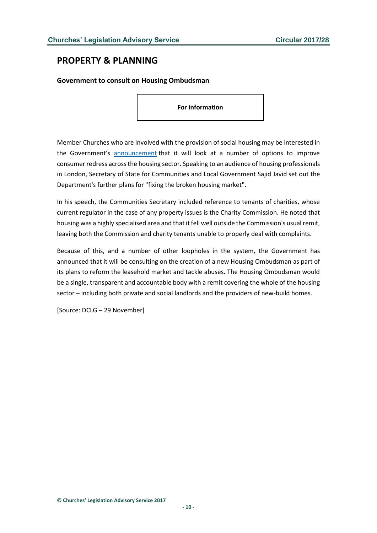## <span id="page-9-0"></span>**PROPERTY & PLANNING**

#### <span id="page-9-1"></span>**Government to consult on Housing Ombudsman**

**For information**

Member Churches who are involved with the provision of social housing may be interested in the Government's [announcement](http://www.gov.uk/government/speeches/building-the-homes-we-deserve) that it will look at a number of options to improve consumer redress across the housing sector. Speaking to an audience of housing professionals in London, Secretary of State for Communities and Local Government Sajid Javid set out the Department's further plans for "fixing the broken housing market".

In his speech, the Communities Secretary included reference to tenants of charities, whose current regulator in the case of any property issues is the Charity Commission. He noted that housing was a highly specialised area and that it fell well outside the Commission's usual remit, leaving both the Commission and charity tenants unable to properly deal with complaints.

Because of this, and a number of other loopholes in the system, the Government has announced that it will be consulting on the creation of a new Housing Ombudsman as part of its plans to reform the leasehold market and tackle abuses. The Housing Ombudsman would be a single, transparent and accountable body with a remit covering the whole of the housing sector – including both private and social landlords and the providers of new-build homes.

[Source: DCLG – 29 November]